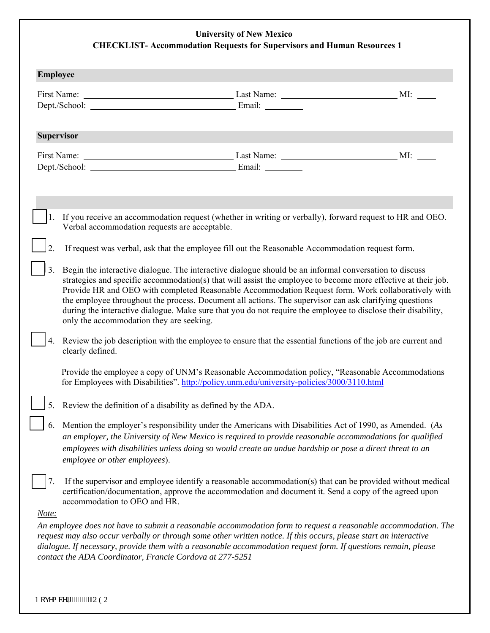## **University of New Mexico CHECKLIST- Accommodation Requests for Supervisors and Human Resources 1**

| <b>Employee</b>   |                                                                                                                                                                                                                                                                                                                                                                                                                                                                                                                                                                                                      |  |
|-------------------|------------------------------------------------------------------------------------------------------------------------------------------------------------------------------------------------------------------------------------------------------------------------------------------------------------------------------------------------------------------------------------------------------------------------------------------------------------------------------------------------------------------------------------------------------------------------------------------------------|--|
|                   |                                                                                                                                                                                                                                                                                                                                                                                                                                                                                                                                                                                                      |  |
|                   |                                                                                                                                                                                                                                                                                                                                                                                                                                                                                                                                                                                                      |  |
| <b>Supervisor</b> |                                                                                                                                                                                                                                                                                                                                                                                                                                                                                                                                                                                                      |  |
|                   |                                                                                                                                                                                                                                                                                                                                                                                                                                                                                                                                                                                                      |  |
| 1.                | If you receive an accommodation request (whether in writing or verbally), forward request to HR and OEO.<br>Verbal accommodation requests are acceptable.                                                                                                                                                                                                                                                                                                                                                                                                                                            |  |
|                   | If request was verbal, ask that the employee fill out the Reasonable Accommodation request form.                                                                                                                                                                                                                                                                                                                                                                                                                                                                                                     |  |
| 3.                | Begin the interactive dialogue. The interactive dialogue should be an informal conversation to discuss<br>strategies and specific accommodation(s) that will assist the employee to become more effective at their job.<br>Provide HR and OEO with completed Reasonable Accommodation Request form. Work collaboratively with<br>the employee throughout the process. Document all actions. The supervisor can ask clarifying questions<br>during the interactive dialogue. Make sure that you do not require the employee to disclose their disability,<br>only the accommodation they are seeking. |  |
|                   | Review the job description with the employee to ensure that the essential functions of the job are current and<br>clearly defined.                                                                                                                                                                                                                                                                                                                                                                                                                                                                   |  |
|                   | Provide the employee a copy of UNM's Reasonable Accommodation policy, "Reasonable Accommodations"<br>for Employees with Disabilities". http://policy.unm.edu/university-policies/3000/3110.html                                                                                                                                                                                                                                                                                                                                                                                                      |  |
|                   | 5. Review the definition of a disability as defined by the ADA.                                                                                                                                                                                                                                                                                                                                                                                                                                                                                                                                      |  |
| 6.                | Mention the employer's responsibility under the Americans with Disabilities Act of 1990, as Amended. (As<br>an employer, the University of New Mexico is required to provide reasonable accommodations for qualified<br>employees with disabilities unless doing so would create an undue hardship or pose a direct threat to an<br>employee or other employees).                                                                                                                                                                                                                                    |  |
| 7.                | If the supervisor and employee identify a reasonable accommodation(s) that can be provided without medical<br>certification/documentation, approve the accommodation and document it. Send a copy of the agreed upon<br>accommodation to OEO and HR.                                                                                                                                                                                                                                                                                                                                                 |  |
| Note:             | An employee does not have to submit a reasonable accommodation form to request a reasonable accommodation. The<br>request may also occur verbally or through some other written notice. If this occurs, please start an interactive<br>dialogue. If necessary, provide them with a reasonable accommodation request form. If questions remain, please<br>contact the ADA Coordinator, Francie Cordova at 277-5251                                                                                                                                                                                    |  |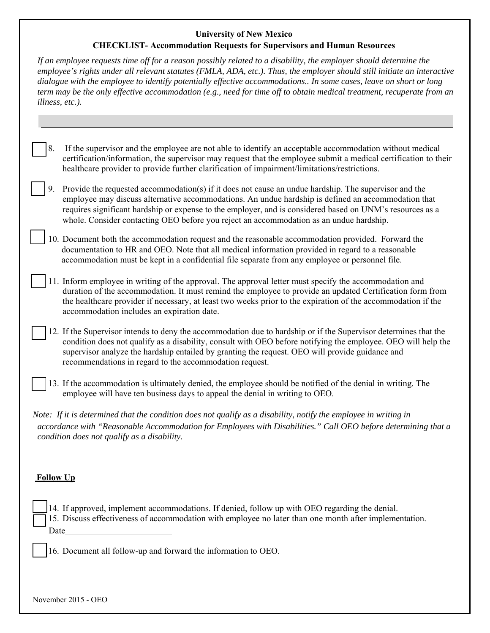## **University of New Mexico**

## **CHECKLIST- Accommodation Requests for Supervisors and Human Resources**

|                                                                | If an employee requests time off for a reason possibly related to a disability, the employer should determine the<br>employee's rights under all relevant statutes (FMLA, ADA, etc.). Thus, the employer should still initiate an interactive<br>dialogue with the employee to identify potentially effective accommodations In some cases, leave on short or long<br>term may be the only effective accommodation (e.g., need for time off to obtain medical treatment, recuperate from an<br>illness, etc.). |  |  |
|----------------------------------------------------------------|----------------------------------------------------------------------------------------------------------------------------------------------------------------------------------------------------------------------------------------------------------------------------------------------------------------------------------------------------------------------------------------------------------------------------------------------------------------------------------------------------------------|--|--|
|                                                                |                                                                                                                                                                                                                                                                                                                                                                                                                                                                                                                |  |  |
| 8.                                                             | If the supervisor and the employee are not able to identify an acceptable accommodation without medical<br>certification/information, the supervisor may request that the employee submit a medical certification to their<br>healthcare provider to provide further clarification of impairment/limitations/restrictions.                                                                                                                                                                                     |  |  |
| 9.                                                             | Provide the requested accommodation(s) if it does not cause an undue hardship. The supervisor and the<br>employee may discuss alternative accommodations. An undue hardship is defined an accommodation that<br>requires significant hardship or expense to the employer, and is considered based on UNM's resources as a<br>whole. Consider contacting OEO before you reject an accommodation as an undue hardship.                                                                                           |  |  |
|                                                                | 10. Document both the accommodation request and the reasonable accommodation provided. Forward the<br>documentation to HR and OEO. Note that all medical information provided in regard to a reasonable<br>accommodation must be kept in a confidential file separate from any employee or personnel file.                                                                                                                                                                                                     |  |  |
|                                                                | 11. Inform employee in writing of the approval. The approval letter must specify the accommodation and<br>duration of the accommodation. It must remind the employee to provide an updated Certification form from<br>the healthcare provider if necessary, at least two weeks prior to the expiration of the accommodation if the<br>accommodation includes an expiration date.                                                                                                                               |  |  |
|                                                                | 12. If the Supervisor intends to deny the accommodation due to hardship or if the Supervisor determines that the<br>condition does not qualify as a disability, consult with OEO before notifying the employee. OEO will help the<br>supervisor analyze the hardship entailed by granting the request. OEO will provide guidance and<br>recommendations in regard to the accommodation request.                                                                                                                |  |  |
|                                                                | 13. If the accommodation is ultimately denied, the employee should be notified of the denial in writing. The<br>employee will have ten business days to appeal the denial in writing to OEO.                                                                                                                                                                                                                                                                                                                   |  |  |
|                                                                | Note: If it is determined that the condition does not qualify as a disability, notify the employee in writing in<br>accordance with "Reasonable Accommodation for Employees with Disabilities." Call OEO before determining that a<br>condition does not qualify as a disability.                                                                                                                                                                                                                              |  |  |
| <b>Follow Up</b>                                               |                                                                                                                                                                                                                                                                                                                                                                                                                                                                                                                |  |  |
|                                                                | 14. If approved, implement accommodations. If denied, follow up with OEO regarding the denial.<br>15. Discuss effectiveness of accommodation with employee no later than one month after implementation.                                                                                                                                                                                                                                                                                                       |  |  |
| 16. Document all follow-up and forward the information to OEO. |                                                                                                                                                                                                                                                                                                                                                                                                                                                                                                                |  |  |
|                                                                |                                                                                                                                                                                                                                                                                                                                                                                                                                                                                                                |  |  |

November 2015 - OEO